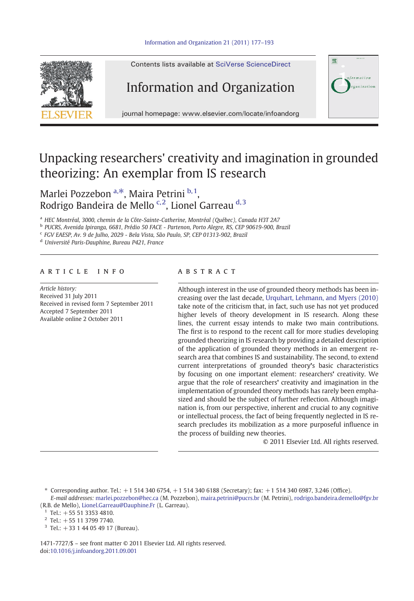

Contents lists available at [SciVerse ScienceDirect](http://www.sciencedirect.com/science/journal/14717727)

## Information and Organization



journal homepage: www.elsevier.com/locate/infoandorg

## Unpacking researchers' creativity and imagination in grounded theorizing: An exemplar from IS research

Marlei Pozzebon<sup>a,\*</sup>, Maira Petrini<sup>b,1</sup>, Rodrigo Bandeira de Mello<sup>c,2</sup>, Lionel Garreau<sup>d,3</sup>

<sup>a</sup> HEC Montréal, 3000, chemin de la Côte-Sainte-Catherine, Montréal (Québec), Canada H3T 2A7

<sup>b</sup> PUCRS, Avenida Ipiranga, 6681, Prédio 50 FACE - Partenon, Porto Alegre, RS, CEP 90619-900, Brazil

<sup>c</sup> FGV EAESP, Av. 9 de Julho, 2029 - Bela Vista, São Paulo, SP, CEP 01313-902, Brazil

<sup>d</sup> Université Paris-Dauphine, Bureau P421, France

### article info abstract

Article history: Received 31 July 2011 Received in revised form 7 September 2011 Accepted 7 September 2011 Available online 2 October 2011

Although interest in the use of grounded theory methods has been increasing over the last decade, [Urquhart, Lehmann, and Myers \(2010\)](#page--1-0) take note of the criticism that, in fact, such use has not yet produced higher levels of theory development in IS research. Along these lines, the current essay intends to make two main contributions. The first is to respond to the recent call for more studies developing grounded theorizing in IS research by providing a detailed description of the application of grounded theory methods in an emergent research area that combines IS and sustainability. The second, to extend current interpretations of grounded theory's basic characteristics by focusing on one important element: researchers' creativity. We argue that the role of researchers' creativity and imagination in the implementation of grounded theory methods has rarely been emphasized and should be the subject of further reflection. Although imagination is, from our perspective, inherent and crucial to any cognitive or intellectual process, the fact of being frequently neglected in IS research precludes its mobilization as a more purposeful influence in the process of building new theories.

© 2011 Elsevier Ltd. All rights reserved.

 $*$  Corresponding author. Tel.:  $+1$  514 340 6754,  $+1$  514 340 6188 (Secretary); fax:  $+1$  514 340 6987, 3.246 (Office). E-mail addresses: [marlei.pozzebon@hec.ca](mailto:marlei.pozzebon@hec.ca) (M. Pozzebon), [maira.petrini@pucrs.br](mailto:maira.petrini@pucrs.br) (M. Petrini), [rodrigo.bandeira.demello@fgv.br](mailto:rodrigo.bandeira.demello@fgv.br) (R.B. de Mello), [Lionel.Garreau@Dauphine.Fr](mailto:Lionel.Garreau@Dauphine.Fr) (L. Garreau).

- $1$  Tel.:  $+555133534810$ .
- $2$  Tel.: +55 11 3799 7740.
- <sup>3</sup> Tel.: +33 1 44 05 49 17 (Bureau).

1471-7727/\$ – see front matter © 2011 Elsevier Ltd. All rights reserved. doi:[10.1016/j.infoandorg.2011.09.001](http://dx.doi.org/10.1016/j.infoandorg.2011.09.001)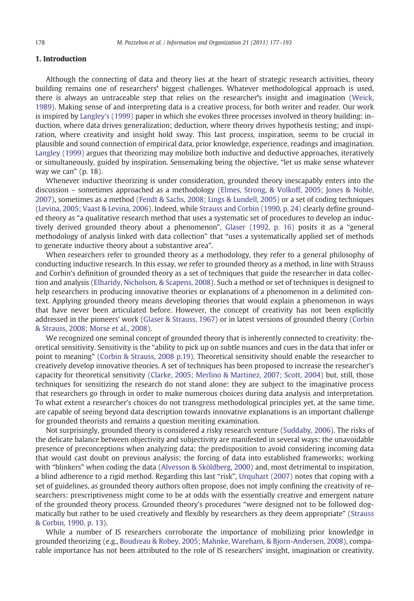### 1. Introduction

Although the connecting of data and theory lies at the heart of strategic research activities, theory building remains one of researchers' biggest challenges. Whatever methodological approach is used, there is always an untraceable step that relies on the researcher's insight and imagination ([Weick,](#page--1-0) [1989](#page--1-0)). Making sense of and interpreting data is a creative process, for both writer and reader. Our work is inspired by [Langley's \(1999\)](#page--1-0) paper in which she evokes three processes involved in theory building: induction, where data drives generalization; deduction, where theory drives hypothesis testing; and inspiration, where creativity and insight hold sway. This last process, inspiration, seems to be crucial in plausible and sound connection of empirical data, prior knowledge, experience, readings and imagination. [Langley \(1999\)](#page--1-0) argues that theorizing may mobilize both inductive and deductive approaches, iteratively or simultaneously, guided by inspiration. Sensemaking being the objective, "let us make sense whatever way we can" (p. 18).

Whenever inductive theorizing is under consideration, grounded theory inescapably enters into the discussion – sometimes approached as a methodology ([Elmes, Strong, & Volkoff, 2005; Jones & Noble,](#page--1-0) [2007](#page--1-0)), sometimes as a method [\(Fendt & Sachs, 2008; Lings & Lundell, 2005\)](#page--1-0) or a set of coding techniques ([Levina, 2005; Vaast & Levina, 2006\)](#page--1-0). Indeed, while [Strauss and Corbin \(1990, p. 24\)](#page--1-0) clearly define grounded theory as "a qualitative research method that uses a systematic set of procedures to develop an inductively derived grounded theory about a phenomenon", [Glaser \(1992, p. 16\)](#page--1-0) posits it as a "general methodology of analysis linked with data collection" that "uses a systematically applied set of methods to generate inductive theory about a substantive area".

When researchers refer to grounded theory as a methodology, they refer to a general philosophy of conducting inductive research. In this essay, we refer to grounded theory as a method, in line with Strauss and Corbin's definition of grounded theory as a set of techniques that guide the researcher in data collection and analysis [\(Elharidy, Nicholson, & Scapens, 2008](#page--1-0)). Such a method or set of techniques is designed to help researchers in producing innovative theories or explanations of a phenomenon in a delimited context. Applying grounded theory means developing theories that would explain a phenomenon in ways that have never been articulated before. However, the concept of creativity has not been explicitly addressed in the pioneers' work [\(Glaser & Strauss, 1967](#page--1-0)) or in latest versions of grounded theory ([Corbin](#page--1-0) [& Strauss, 2008; Morse et al., 2008\)](#page--1-0).

We recognized one seminal concept of grounded theory that is inherently connected to creativity: theoretical sensitivity. Sensitivity is the "ability to pick up on subtle nuances and cues in the data that infer or point to meaning" [\(Corbin & Strauss, 2008 p.19](#page--1-0)). Theoretical sensitivity should enable the researcher to creatively develop innovative theories. A set of techniques has been proposed to increase the researcher's capacity for theoretical sensitivity [\(Clarke, 2005; Merlino & Martinez, 2007; Scott, 2004](#page--1-0)) but, still, those techniques for sensitizing the research do not stand alone: they are subject to the imaginative process that researchers go through in order to make numerous choices during data analysis and interpretation. To what extent a researcher's choices do not transgress methodological principles yet, at the same time, are capable of seeing beyond data description towards innovative explanations is an important challenge for grounded theorists and remains a question meriting examination.

Not surprisingly, grounded theory is considered a risky research venture [\(Suddaby, 2006\)](#page--1-0). The risks of the delicate balance between objectivity and subjectivity are manifested in several ways: the unavoidable presence of preconceptions when analyzing data; the predisposition to avoid considering incoming data that would cast doubt on previous analysis; the forcing of data into established frameworks; working with "blinkers" when coding the data [\(Alvesson & Sköldberg, 2000](#page--1-0)) and, most detrimental to inspiration, a blind adherence to a rigid method. Regarding this last "risk", [Urquhart \(2007\)](#page--1-0) notes that coping with a set of guidelines, as grounded theory authors often propose, does not imply confining the creativity of researchers: prescriptiveness might come to be at odds with the essentially creative and emergent nature of the grounded theory process. Grounded theory's procedures "were designed not to be followed dogmatically but rather to be used creatively and flexibly by researchers as they deem appropriate" ([Strauss](#page--1-0) [& Corbin, 1990, p. 13\)](#page--1-0).

While a number of IS researchers corroborate the importance of mobilizing prior knowledge in grounded theorizing (e.g., [Boudreau & Robey, 2005; Mahnke, Wareham, & Bjorn-Andersen, 2008\)](#page--1-0), comparable importance has not been attributed to the role of IS researchers' insight, imagination or creativity.